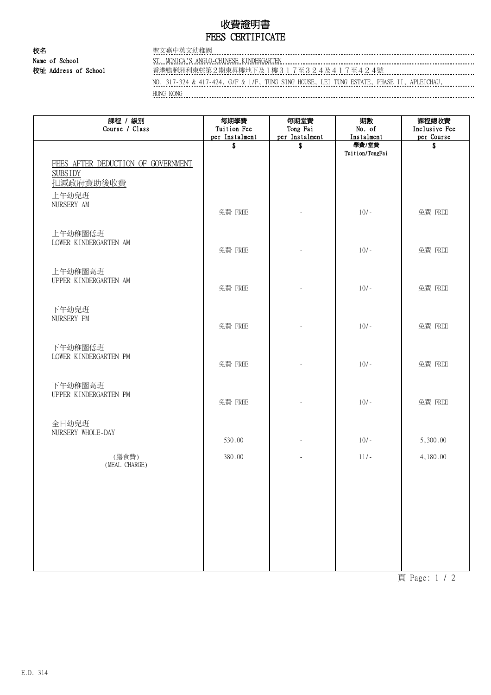# 收費證明書 FEES CERTIFICATE

校名 2008年 - 2008年 - 2008年 - 2008年 - 2008年 - 2008年 - 2008年 - 2008年 - 2008年 - 2008年 - 2008年 - 2008年 - 2008年 - 2008年 - 2008年 - 2008年 - 2008年 - 2008年 - 2008年 - 2008年 - 2008年 - 2008年 - 2008年 - 2008年 - 2008年 - 2008年 - 2008年 - 200 Name of School ST. MONICA'S ANGLO-CHINESE KINDERGARTEN

....................................

校址 Address of School 2014年第1期利利東邨第2期東昇樓地下及1樓317至324及417至424號

NO. 317-324 & 417-424, G/F & 1/F, TUNG SING HOUSE, LEI TUNG ESTATE, PHASE II, APLEICHAU, HONG KONG

| 課程 / 級別<br>Course / Class                                                  | 每期學費<br>Tuition Fee<br>per Instalment | 每期堂費<br>Tong Fai<br>per Instalment | 期數<br>No. of<br>Instalment | 課程總收費<br>Inclusive Fee<br>per Course |
|----------------------------------------------------------------------------|---------------------------------------|------------------------------------|----------------------------|--------------------------------------|
| FEES AFTER DEDUCTION OF GOVERNMENT<br><b>SUBSIDY</b><br>扣减政府資助後收費<br>上午幼兒班 | \$                                    | \$                                 | 學費/堂費<br>Tuition/TongFai   | \$                                   |
| NURSERY AM                                                                 | 免費 FREE                               |                                    | $10/-$                     | 免費 FREE                              |
| 上午幼稚園低班<br>LOWER KINDERGARTEN AM                                           | 免費 FREE                               |                                    | $10/-$                     | 免費 FREE                              |
| 上午幼稚園高班<br>UPPER KINDERGARTEN AM                                           | 免費 FREE                               |                                    | $10/-$                     | 免費 FREE                              |
| 下午幼兒班<br>NURSERY PM                                                        | 免費 FREE                               |                                    | $10/-$                     | 免費 FREE                              |
| 下午幼稚園低班<br>LOWER KINDERGARTEN PM                                           | 免費 FREE                               |                                    | $10/-$                     | 免費 FREE                              |
| 下午幼稚園高班<br>UPPER KINDERGARTEN PM                                           | 免費 FREE                               |                                    | $10/-$                     | 免費 FREE                              |
| 全日幼兒班<br>NURSERY WHOLE-DAY                                                 | 530.00                                |                                    | $10/-$                     | 5,300.00                             |
| (膳食費)<br>(MEAL CHARGE)                                                     | 380.00                                |                                    | $11/-$                     | 4,180.00                             |
|                                                                            |                                       |                                    |                            |                                      |
|                                                                            |                                       |                                    |                            |                                      |
|                                                                            |                                       |                                    |                            |                                      |
|                                                                            |                                       |                                    |                            |                                      |

頁 Page: 1 / 2